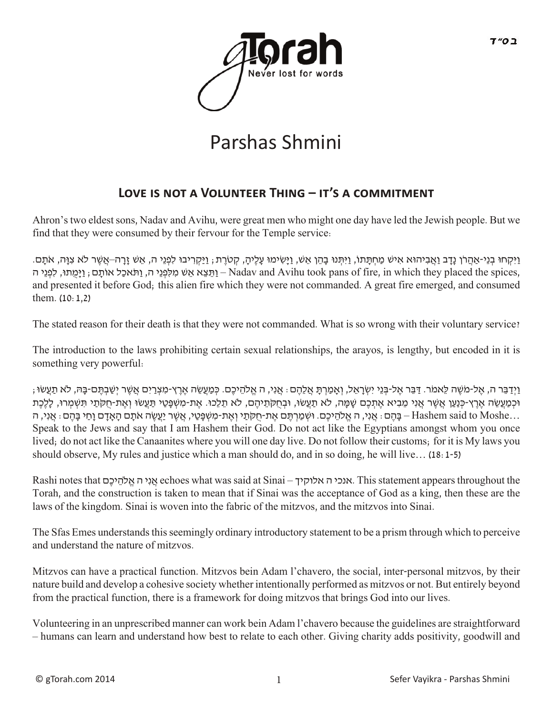

## Parshas Shmini

## LOVE IS NOT A VOLUNTEER THING – IT'S A COMMITMENT

Ahron's two eldest sons, Nadav and Avihu, were great men who might one day have led the Jewish people. But we find that they were consumed by their fervour for the Temple service:

ויקחו בני-אהרן נדב ואביהוא איש מחתתו, ויתּנו בהן אש, וישימו עליה, קטרת ,ויקריבו לפני ה, אש זרה–אשר לא צוה, אתם. ן, וַתֵּצֵא אֵש מִלְפְנֵי ה, וַתֹּאכָל אוֹתָם; וַיַּמִתוּ, לִפְנֵי ה – Nadav and Avihu took pans of fire, in which they placed the spices, and presented it before God; this alien fire which they were not commanded. A great fire emerged, and consumed them. (10:1,2)

The stated reason for their death is that they were not commanded. What is so wrong with their voluntary service?

The introduction to the laws prohibiting certain sexual relationships, the arayos, is lengthy, but encoded in it is something very powerful:

ן וַיְדַבֵּר ה, אֶל-מֹשֶׁה לֵאמֹר. דַּבֵּר אֶל-בְּנֵי יִשְׂרָאֶל, וְאָמַרְתָּ אֲלֶהֶם: אֲנִי, ה אֱלֹהֵיכֶם. כְּמַעֲשֶׂה אֶרֶץ-מִצְרָיִם אֲשֶׁר יְשֶׁבְתֶּם-בַּה, לֹא תַעֲשׂוּ ; ּוּכְמַעֲשֶׂה אֶרֶץ-כְּנַעֶן אֲשֶׁר אֲנִי מֶבִיא אֶתְכֶם שַׁמֵּה, לֹא תַעֲשׂוּ, וּבְחָקֹתֶיהֶם, לֹא תַלֶכוּ. אֶת-מִשְׁפֵּטֵי תַּעֲשׂוּ וְאֶת-חַקֹּתֵי תִּשְׁמְרוּ, לָלֶכֶת ...Hashem said to Moshe – בָּהֶם: אֲנִי, ה אֱ לֹהֵיכֶם. וּשְׁמַרְתֵּם אֶת-חַקֹּתַי וְאֶת-מִשְׁפָּטֵי, אֲשֶׁר יַעֲשֶׂה אֹתָם הָאָדָם וָחַי בָּהֵם: אֲנִי, ה Speak to the Jews and say that I am Hashem their God. Do not act like the Egyptians amongst whom you once lived; do not act like the Canaanites where you will one day live. Do not follow their customs; for it is My laws you should observe, My rules and justice which a man should do, and in so doing, he will live… (18:1-5)

Rashi notes that םֶיכ ֵלהֹ ֱא ה יִנ ֲא echoes what was said at Sinai – אלוקיך ה אנכי. This statement appears throughout the Torah, and the construction is taken to mean that if Sinai was the acceptance of God as a king, then these are the laws of the kingdom. Sinai is woven into the fabric of the mitzvos, and the mitzvos into Sinai.

The Sfas Emes understands this seemingly ordinary introductory statement to be a prism through which to perceive and understand the nature of mitzvos.

Mitzvos can have a practical function. Mitzvos bein Adam l'chavero, the social, inter-personal mitzvos, by their nature build and develop a cohesive society whether intentionally performed as mitzvos or not. But entirely beyond from the practical function, there is a framework for doing mitzvos that brings God into our lives.

Volunteering in an unprescribed manner can work bein Adam l'chavero because the guidelines are straightforward – humans can learn and understand how best to relate to each other. Giving charity adds positivity, goodwill and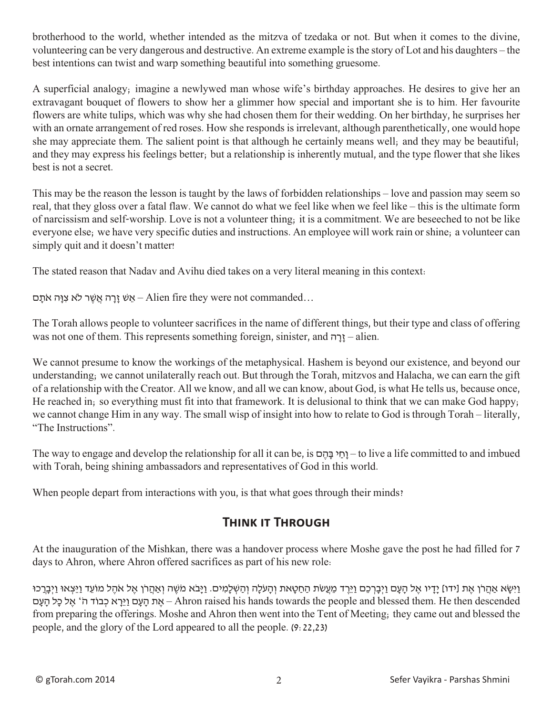brotherhood to the world, whether intended as the mitzva of tzedaka or not. But when it comes to the divine, volunteering can be very dangerous and destructive. An extreme example is the story of Lot and his daughters – the best intentions can twist and warp something beautiful into something gruesome.

A superficial analogy; imagine a newlywed man whose wife's birthday approaches. He desires to give her an extravagant bouquet of flowers to show her a glimmer how special and important she is to him. Her favourite flowers are white tulips, which was why she had chosen them for their wedding. On her birthday, he surprises her with an ornate arrangement of red roses. How she responds is irrelevant, although parenthetically, one would hope she may appreciate them. The salient point is that although he certainly means well; and they may be beautiful; and they may express his feelings better; but a relationship is inherently mutual, and the type flower that she likes best is not a secret.

This may be the reason the lesson is taught by the laws of forbidden relationships – love and passion may seem so real, that they gloss over a fatal flaw. We cannot do what we feel like when we feel like – this is the ultimate form of narcissism and self-worship. Love is not a volunteer thing; it is a commitment. We are beseeched to not be like everyone else; we have very specific duties and instructions. An employee will work rain or shine; a volunteer can simply quit and it doesn't matter!

The stated reason that Nadav and Avihu died takes on a very literal meaning in this context:

אַט זַרָה אֲשֶר לֹא צִוָּה אֹתָם- Alien fire they were not commanded...

The Torah allows people to volunteer sacrifices in the name of different things, but their type and class of offering was not one of them. This represents something foreign, sinister, and  $\eta$ יַרָה – alien.

We cannot presume to know the workings of the metaphysical. Hashem is beyond our existence, and beyond our understanding; we cannot unilaterally reach out. But through the Torah, mitzvos and Halacha, we can earn the gift of a relationship with the Creator. All we know, and all we can know, about God, is what He tells us, because once, He reached in; so everything must fit into that framework. It is delusional to think that we can make God happy; we cannot change Him in any way. The small wisp of insight into how to relate to God is through Torah – literally, "The Instructions".

The way to engage and develop the relationship for all it can be, is ם ֶה ָבּ י ַחָו – to live a life committed to and imbued with Torah, being shining ambassadors and representatives of God in this world.

When people depart from interactions with you, is that what goes through their minds?

## **Think it Through**

At the inauguration of the Mishkan, there was a handover process where Moshe gave the post he had filled for 7 days to Ahron, where Ahron offered sacrifices as part of his new role:

וַיִּשָּׂא אַהֲרֹן אֶת [ידו] יָדָיו אֶל הַעָם וַיִּבְרְכֶם וַיְרֵד מֵעֲשׂת הַחַטָּאת וְהַעֹּלֶה וְהַשָּׁלָמִים. וַיָּבֹה מֹשֶׁה וְאַהֲרֹן אֶל אֹהֶל מוֹעֵד וַיֵּצְאוּ וַיִּבְרְכוּ descended then He .them blessed and people the towards hands his raised Ahron – אֶ ת הָ עָ ם וַיֵּרָ א כְ בוֹד הֹ' אֶ ל כָּל הָ עָ ם from preparing the offerings. Moshe and Ahron then went into the Tent of Meeting; they came out and blessed the people, and the glory of the Lord appeared to all the people. (9:22,23)